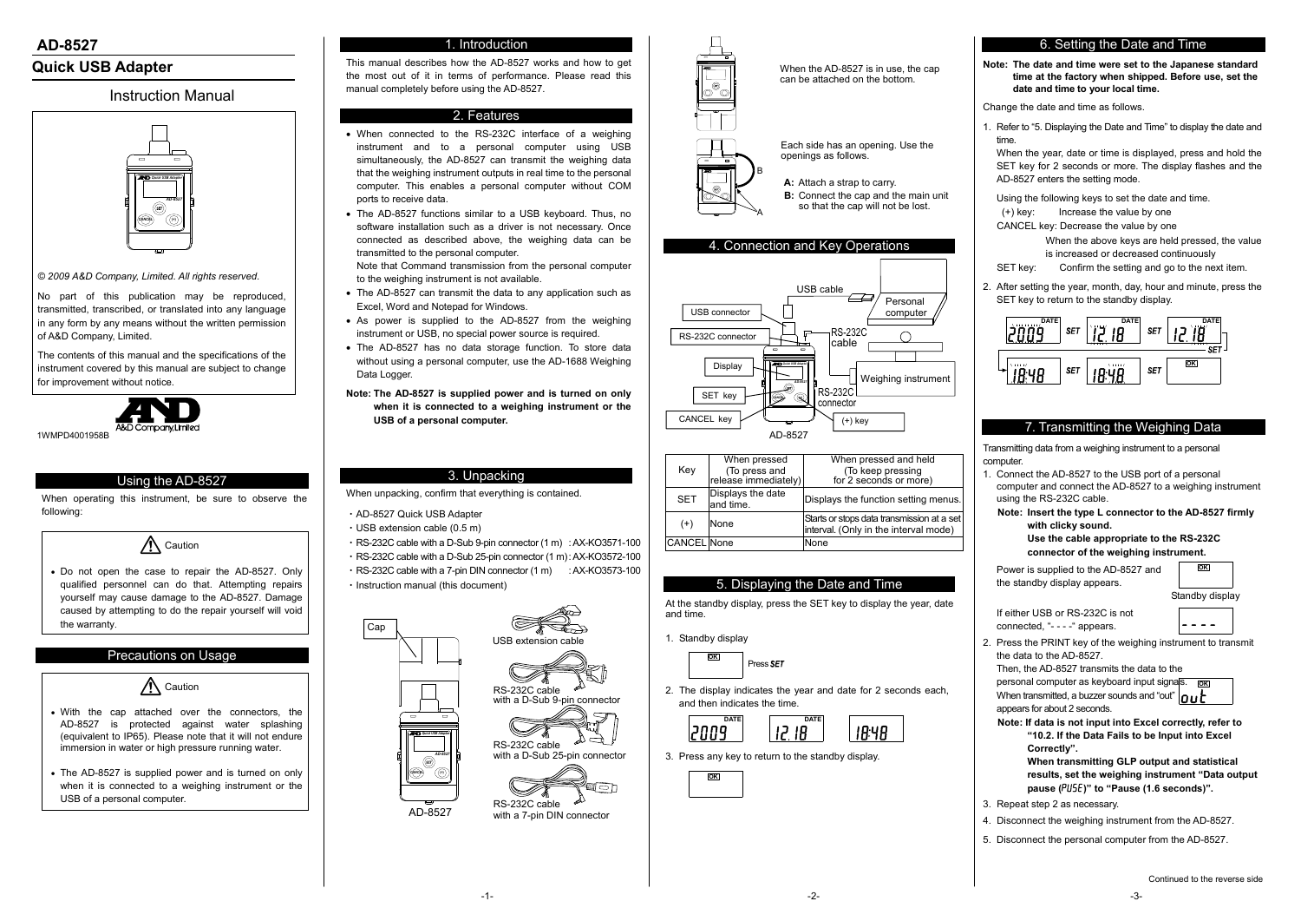-2- -3-



with a D-Sub 9-pin connector

RS-232C cable



RS-232C cable with a 7-pin DIN connector

# **Quick USB Adapter**

# Instruction Manual

*© 2009 A&D Company, Limited. All rights reserved.* 

No part of this publication may be reproduced, transmitted, transcribed, or translated into any language in any form by any means without the written permission of A&D Company, Limited.

The contents of this manual and the specifications of the instrument covered by this manual are subject to change for improvement without notice.



1WMPD4001958B

## Using the AD-8527

When operating this instrument, be sure to observe the following:

Caution

 Do not open the case to repair the AD-8527. Only qualified personnel can do that. Attempting repairs yourself may cause damage to the AD-8527. Damage caused by attempting to do the repair yourself will void the warranty.

## Precautions on Usage



- With the cap attached over the connectors, the AD-8527 is protected against water splashing (equivalent to IP65). Please note that it will not endure immersion in water or high pressure running water.
- The AD-8527 is supplied power and is turned on only when it is connected to a weighing instrument or the USB of a personal computer.

## 1. Introduction

This manual describes how the AD-8527 works and how to get the most out of it in terms of performance. Please read this manual completely before using the AD-8527.

## 2. Features

- When connected to the RS-232C interface of a weighing instrument and to a personal computer using USB simultaneously, the AD-8527 can transmit the weighing data that the weighing instrument outputs in real time to the personal computer. This enables a personal computer without COM ports to receive data.
- The AD-8527 functions similar to a USB keyboard. Thus, no software installation such as a driver is not necessary. Once connected as described above, the weighing data can be transmitted to the personal computer.

Note that Command transmission from the personal computer to the weighing instrument is not available.

- The AD-8527 can transmit the data to any application such as Excel, Word and Notepad for Windows.
- As power is supplied to the AD-8527 from the weighing instrument or USB, no special power source is required.
- The AD-8527 has no data storage function. To store data without using a personal computer, use the AD-1688 Weighing Data Logger.
- **Note: The AD-8527 is supplied power and is turned on only when it is connected to a weighing instrument or the USB of a personal computer.**

 If either USB or RS-232C is not connected, "- - - -" appears.

## 3. Unpacking

When unpacking, confirm that everything is contained.

- ・AD-8527 Quick USB Adapter
- $\cdot$  USB extension cable (0.5 m)
- ・RS-232C cable with a D-Sub 9-pin connector (1 m) : AX-KO3571-100
- ・RS-232C cable with a D-Sub 25-pin connector (1 m) : AX-KO3572-100
- $\cdot$  RS-232C cable with a 7-pin DIN connector (1 m)  $\cdot$  AX-KO3573-100
- ・Instruction manual (this document)

When the AD-8527 is in use, the cap can be attached on the bottom.

| Key                | When pressed                          | When pressed and held                                                               |  |  |  |
|--------------------|---------------------------------------|-------------------------------------------------------------------------------------|--|--|--|
|                    | (To press and<br>release immediately) | (To keep pressing                                                                   |  |  |  |
|                    |                                       | for 2 seconds or more)                                                              |  |  |  |
| <b>SET</b>         | Displays the date<br>and time.        | Displays the function setting menus.                                                |  |  |  |
| $(+)$              | None                                  | Starts or stops data transmission at a set<br>interval. (Only in the interval mode) |  |  |  |
| <b>CANCEL</b> None |                                       | None                                                                                |  |  |  |

#### 5. Displaying the Date and Time

At the standby display, press the SET key to display the year, date and time.

1. Standby display

2. The display indicates the year and date for 2 seconds each, and then indicates the time.

3. Press any key to return to the standby display.

## 6. Setting the Date and Time

**Note: The date and time were set to the Japanese standard time at the factory when shipped. Before use, set the date and time to your local time.**

Change the date and time as follows.

1. Refer to "5. Displaying the Date and Time" to display the date and time.

When the year, date or time is displayed, press and hold the SET key for 2 seconds or more. The display flashes and the AD-8527 enters the setting mode.

Using the following keys to set the date and time.

(+) key: Increase the value by one

CANCEL key: Decrease the value by one

When the above keys are held pressed, the value is increased or decreased continuously

SET key: Confirm the setting and go to the next item.



2. After setting the year, month, day, hour and minute, press the SET key to return to the standby display.

# 7. Transmitting the Weighing Data

Transmitting data from a weighing instrument to a personal computer.

1. Connect the AD-8527 to the USB port of a personal computer and connect the AD-8527 to a weighing instrument using the RS-232C cable.

**Note: Insert the type L connector to the AD-8527 firmly with clicky sound. Use the cable appropriate to the RS-232C connector of the weighing instrument.** 

Power is supplied to the AD-8527 and the standby display appears.

2. Press the PRINT key of the weighing instrument to transmit the data to the AD-8527.

Then, the AD-8527 transmits the data to the

personal computer as keyboard input signals. **OK** When transmitted, a buzzer sounds and "out"  $n \cdot k$ appears for about 2 seconds.

**Note: If data is not input into Excel correctly, refer to "10.2. If the Data Fails to be Input into Excel Correctly". When transmitting GLP output and statistical** 

**results, set the weighing instrument "Data output pause (**pU5e**)" to "Pause (1.6 seconds)".** 

- 3. Repeat step 2 as necessary.
- 4. Disconnect the weighing instrument from the AD-8527.
- 5. Disconnect the personal computer from the AD-8527.

















**OK**